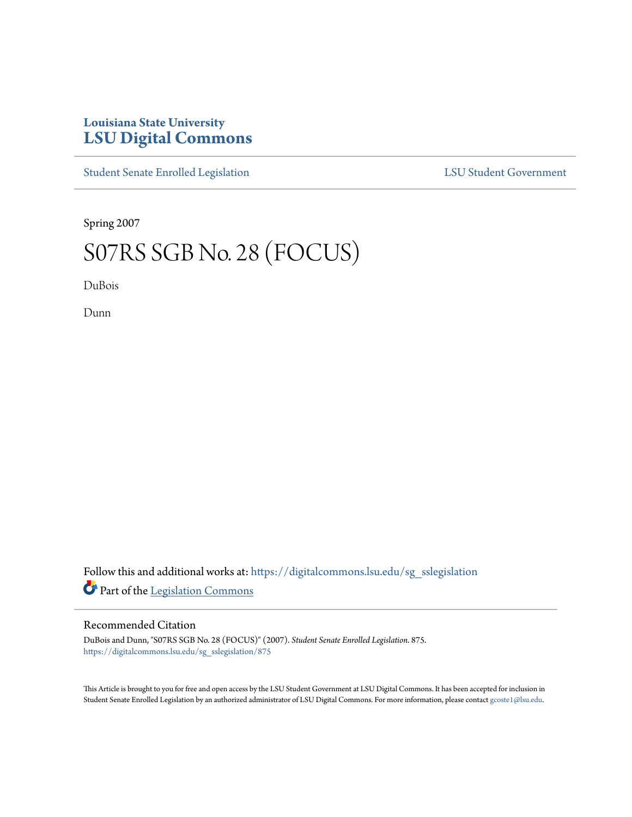## **Louisiana State University [LSU Digital Commons](https://digitalcommons.lsu.edu?utm_source=digitalcommons.lsu.edu%2Fsg_sslegislation%2F875&utm_medium=PDF&utm_campaign=PDFCoverPages)**

[Student Senate Enrolled Legislation](https://digitalcommons.lsu.edu/sg_sslegislation?utm_source=digitalcommons.lsu.edu%2Fsg_sslegislation%2F875&utm_medium=PDF&utm_campaign=PDFCoverPages) [LSU Student Government](https://digitalcommons.lsu.edu/sg?utm_source=digitalcommons.lsu.edu%2Fsg_sslegislation%2F875&utm_medium=PDF&utm_campaign=PDFCoverPages)

Spring 2007

## S07RS SGB No. 28 (FOCUS)

DuBois

Dunn

Follow this and additional works at: [https://digitalcommons.lsu.edu/sg\\_sslegislation](https://digitalcommons.lsu.edu/sg_sslegislation?utm_source=digitalcommons.lsu.edu%2Fsg_sslegislation%2F875&utm_medium=PDF&utm_campaign=PDFCoverPages) Part of the [Legislation Commons](http://network.bepress.com/hgg/discipline/859?utm_source=digitalcommons.lsu.edu%2Fsg_sslegislation%2F875&utm_medium=PDF&utm_campaign=PDFCoverPages)

## Recommended Citation

DuBois and Dunn, "S07RS SGB No. 28 (FOCUS)" (2007). *Student Senate Enrolled Legislation*. 875. [https://digitalcommons.lsu.edu/sg\\_sslegislation/875](https://digitalcommons.lsu.edu/sg_sslegislation/875?utm_source=digitalcommons.lsu.edu%2Fsg_sslegislation%2F875&utm_medium=PDF&utm_campaign=PDFCoverPages)

This Article is brought to you for free and open access by the LSU Student Government at LSU Digital Commons. It has been accepted for inclusion in Student Senate Enrolled Legislation by an authorized administrator of LSU Digital Commons. For more information, please contact [gcoste1@lsu.edu.](mailto:gcoste1@lsu.edu)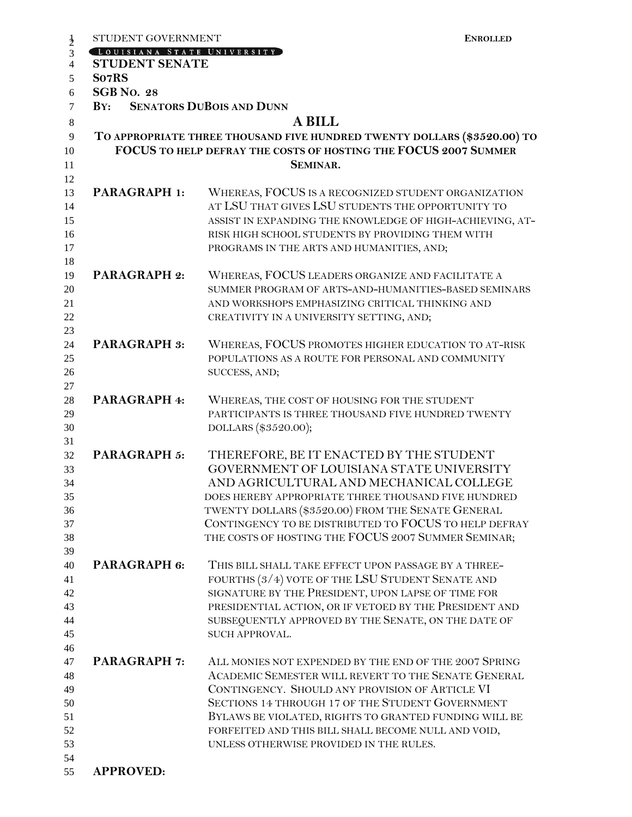| STUDENT GOVERNMENT           | <b>ENROLLED</b>                                                                                                                                                                                                                                                                                                                                                                |
|------------------------------|--------------------------------------------------------------------------------------------------------------------------------------------------------------------------------------------------------------------------------------------------------------------------------------------------------------------------------------------------------------------------------|
| LOUISIANA STATE UNIVERSITY   |                                                                                                                                                                                                                                                                                                                                                                                |
| <b>STUDENT SENATE</b>        |                                                                                                                                                                                                                                                                                                                                                                                |
| So7RS<br><b>SGB No. 28</b>   |                                                                                                                                                                                                                                                                                                                                                                                |
| BY: SENATORS DUBOIS AND DUNN |                                                                                                                                                                                                                                                                                                                                                                                |
|                              |                                                                                                                                                                                                                                                                                                                                                                                |
|                              | <b>A BILL</b>                                                                                                                                                                                                                                                                                                                                                                  |
|                              | TO APPROPRIATE THREE THOUSAND FIVE HUNDRED TWENTY DOLLARS (\$3520.00) TO<br>FOCUS TO HELP DEFRAY THE COSTS OF HOSTING THE FOCUS 2007 SUMMER                                                                                                                                                                                                                                    |
|                              | SEMINAR.                                                                                                                                                                                                                                                                                                                                                                       |
| <b>PARAGRAPH 1:</b>          | WHEREAS, FOCUS IS A RECOGNIZED STUDENT ORGANIZATION<br>AT LSU THAT GIVES LSU STUDENTS THE OPPORTUNITY TO<br>ASSIST IN EXPANDING THE KNOWLEDGE OF HIGH-ACHIEVING, AT-<br>RISK HIGH SCHOOL STUDENTS BY PROVIDING THEM WITH                                                                                                                                                       |
|                              | PROGRAMS IN THE ARTS AND HUMANITIES, AND;                                                                                                                                                                                                                                                                                                                                      |
| <b>PARAGRAPH 2:</b>          | WHEREAS, FOCUS LEADERS ORGANIZE AND FACILITATE A<br>SUMMER PROGRAM OF ARTS-AND-HUMANITIES-BASED SEMINARS<br>AND WORKSHOPS EMPHASIZING CRITICAL THINKING AND<br>CREATIVITY IN A UNIVERSITY SETTING, AND;                                                                                                                                                                        |
| <b>PARAGRAPH 3:</b>          | WHEREAS, FOCUS PROMOTES HIGHER EDUCATION TO AT-RISK<br>POPULATIONS AS A ROUTE FOR PERSONAL AND COMMUNITY<br>SUCCESS, AND;                                                                                                                                                                                                                                                      |
|                              |                                                                                                                                                                                                                                                                                                                                                                                |
| <b>PARAGRAPH 4:</b>          | WHEREAS, THE COST OF HOUSING FOR THE STUDENT<br>PARTICIPANTS IS THREE THOUSAND FIVE HUNDRED TWENTY<br>DOLLARS (\$3520.00);                                                                                                                                                                                                                                                     |
| <b>PARAGRAPH 5:</b>          | THEREFORE, BE IT ENACTED BY THE STUDENT<br>GOVERNMENT OF LOUISIANA STATE UNIVERSITY<br>AND AGRICULTURAL AND MECHANICAL COLLEGE<br>DOES HEREBY APPROPRIATE THREE THOUSAND FIVE HUNDRED<br>TWENTY DOLLARS (\$3520.00) FROM THE SENATE GENERAL<br>CONTINGENCY TO BE DISTRIBUTED TO FOCUS TO HELP DEFRAY<br>THE COSTS OF HOSTING THE FOCUS 2007 SUMMER SEMINAR;                    |
| PARAGRAPH 6:                 | THIS BILL SHALL TAKE EFFECT UPON PASSAGE BY A THREE-<br>FOURTHS (3/4) VOTE OF THE LSU STUDENT SENATE AND<br>SIGNATURE BY THE PRESIDENT, UPON LAPSE OF TIME FOR<br>PRESIDENTIAL ACTION, OR IF VETOED BY THE PRESIDENT AND<br>SUBSEQUENTLY APPROVED BY THE SENATE, ON THE DATE OF<br>SUCH APPROVAL.                                                                              |
| <b>PARAGRAPH 7:</b>          | ALL MONIES NOT EXPENDED BY THE END OF THE 2007 SPRING<br>ACADEMIC SEMESTER WILL REVERT TO THE SENATE GENERAL<br>CONTINGENCY. SHOULD ANY PROVISION OF ARTICLE VI<br>SECTIONS 14 THROUGH 17 OF THE STUDENT GOVERNMENT<br>BYLAWS BE VIOLATED, RIGHTS TO GRANTED FUNDING WILL BE<br>FORFEITED AND THIS BILL SHALL BECOME NULL AND VOID,<br>UNLESS OTHERWISE PROVIDED IN THE RULES. |
| <b>APPROVED:</b>             |                                                                                                                                                                                                                                                                                                                                                                                |